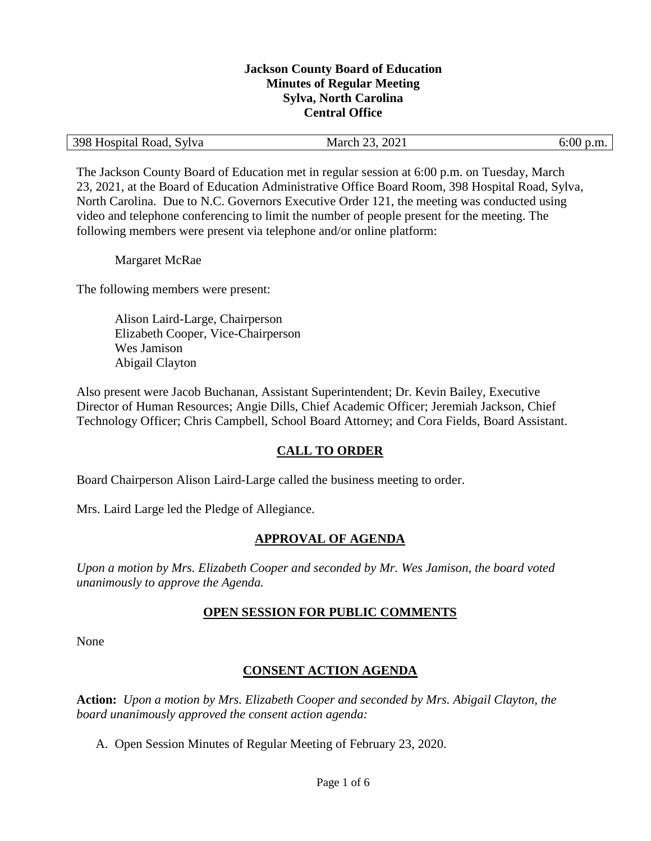#### **Jackson County Board of Education Minutes of Regular Meeting Sylva, North Carolina Central Office**

| 398 Hospital Road, Sylva | 2021<br>March 23, | 6:00 p.m. |
|--------------------------|-------------------|-----------|
|--------------------------|-------------------|-----------|

The Jackson County Board of Education met in regular session at 6:00 p.m. on Tuesday, March 23, 2021, at the Board of Education Administrative Office Board Room, 398 Hospital Road, Sylva, North Carolina. Due to N.C. Governors Executive Order 121, the meeting was conducted using video and telephone conferencing to limit the number of people present for the meeting. The following members were present via telephone and/or online platform:

Margaret McRae

The following members were present:

Alison Laird-Large, Chairperson Elizabeth Cooper, Vice-Chairperson Wes Jamison Abigail Clayton

Also present were Jacob Buchanan, Assistant Superintendent; Dr. Kevin Bailey, Executive Director of Human Resources; Angie Dills, Chief Academic Officer; Jeremiah Jackson, Chief Technology Officer; Chris Campbell, School Board Attorney; and Cora Fields, Board Assistant.

## **CALL TO ORDER**

Board Chairperson Alison Laird-Large called the business meeting to order.

Mrs. Laird Large led the Pledge of Allegiance.

## **APPROVAL OF AGENDA**

*Upon a motion by Mrs. Elizabeth Cooper and seconded by Mr. Wes Jamison, the board voted unanimously to approve the Agenda.*

## **OPEN SESSION FOR PUBLIC COMMENTS**

None

## **CONSENT ACTION AGENDA**

**Action:** *Upon a motion by Mrs. Elizabeth Cooper and seconded by Mrs. Abigail Clayton, the board unanimously approved the consent action agenda:*

A. Open Session Minutes of Regular Meeting of February 23, 2020.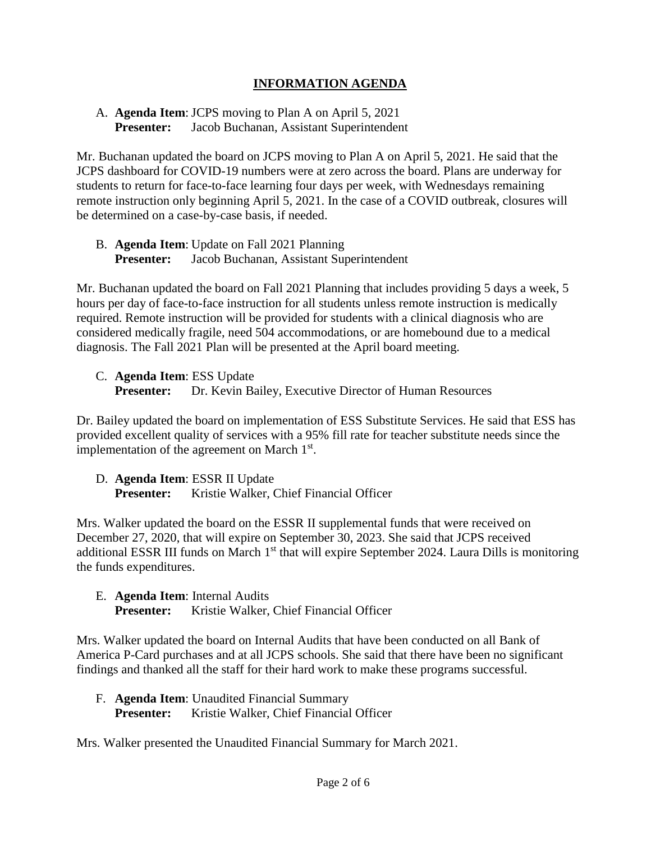# **INFORMATION AGENDA**

## A. **Agenda Item**: JCPS moving to Plan A on April 5, 2021 **Presenter:** Jacob Buchanan, Assistant Superintendent

Mr. Buchanan updated the board on JCPS moving to Plan A on April 5, 2021. He said that the JCPS dashboard for COVID-19 numbers were at zero across the board. Plans are underway for students to return for face-to-face learning four days per week, with Wednesdays remaining remote instruction only beginning April 5, 2021. In the case of a COVID outbreak, closures will be determined on a case-by-case basis, if needed.

B. **Agenda Item**: Update on Fall 2021 Planning **Presenter:** Jacob Buchanan, Assistant Superintendent

Mr. Buchanan updated the board on Fall 2021 Planning that includes providing 5 days a week, 5 hours per day of face-to-face instruction for all students unless remote instruction is medically required. Remote instruction will be provided for students with a clinical diagnosis who are considered medically fragile, need 504 accommodations, or are homebound due to a medical diagnosis. The Fall 2021 Plan will be presented at the April board meeting.

C. **Agenda Item**: ESS Update

**Presenter:** Dr. Kevin Bailey, Executive Director of Human Resources

Dr. Bailey updated the board on implementation of ESS Substitute Services. He said that ESS has provided excellent quality of services with a 95% fill rate for teacher substitute needs since the implementation of the agreement on March  $1<sup>st</sup>$ .

D. **Agenda Item**: ESSR II Update **Presenter:** Kristie Walker, Chief Financial Officer

Mrs. Walker updated the board on the ESSR II supplemental funds that were received on December 27, 2020, that will expire on September 30, 2023. She said that JCPS received additional ESSR III funds on March 1<sup>st</sup> that will expire September 2024. Laura Dills is monitoring the funds expenditures.

E. **Agenda Item**: Internal Audits **Presenter:** Kristie Walker, Chief Financial Officer

Mrs. Walker updated the board on Internal Audits that have been conducted on all Bank of America P-Card purchases and at all JCPS schools. She said that there have been no significant findings and thanked all the staff for their hard work to make these programs successful.

F. **Agenda Item**: Unaudited Financial Summary Presenter: Kristie Walker, Chief Financial Officer

Mrs. Walker presented the Unaudited Financial Summary for March 2021.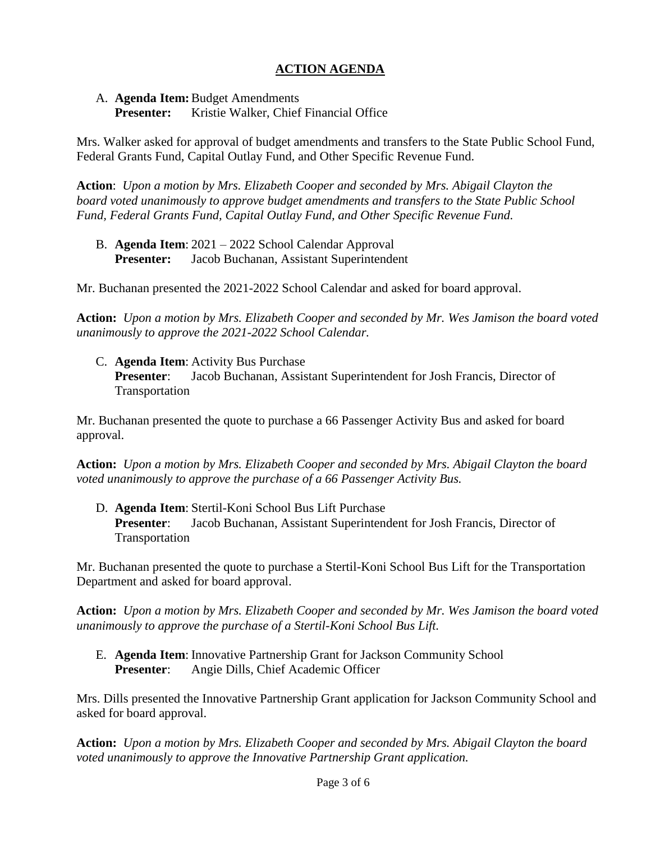# **ACTION AGENDA**

A. **Agenda Item:**Budget Amendments

**Presenter:** Kristie Walker, Chief Financial Office

Mrs. Walker asked for approval of budget amendments and transfers to the State Public School Fund, Federal Grants Fund, Capital Outlay Fund, and Other Specific Revenue Fund.

**Action**: *Upon a motion by Mrs. Elizabeth Cooper and seconded by Mrs. Abigail Clayton the board voted unanimously to approve budget amendments and transfers to the State Public School Fund, Federal Grants Fund, Capital Outlay Fund, and Other Specific Revenue Fund.*

B. **Agenda Item**: 2021 – 2022 School Calendar Approval **Presenter:** Jacob Buchanan, Assistant Superintendent

Mr. Buchanan presented the 2021-2022 School Calendar and asked for board approval.

**Action:** *Upon a motion by Mrs. Elizabeth Cooper and seconded by Mr. Wes Jamison the board voted unanimously to approve the 2021-2022 School Calendar.*

C. **Agenda Item**: Activity Bus Purchase **Presenter**: Jacob Buchanan, Assistant Superintendent for Josh Francis, Director of Transportation

Mr. Buchanan presented the quote to purchase a 66 Passenger Activity Bus and asked for board approval.

**Action:** *Upon a motion by Mrs. Elizabeth Cooper and seconded by Mrs. Abigail Clayton the board voted unanimously to approve the purchase of a 66 Passenger Activity Bus.*

D. **Agenda Item**: Stertil-Koni School Bus Lift Purchase **Presenter**: Jacob Buchanan, Assistant Superintendent for Josh Francis, Director of Transportation

Mr. Buchanan presented the quote to purchase a Stertil-Koni School Bus Lift for the Transportation Department and asked for board approval.

**Action:** *Upon a motion by Mrs. Elizabeth Cooper and seconded by Mr. Wes Jamison the board voted unanimously to approve the purchase of a Stertil-Koni School Bus Lift.*

E. **Agenda Item**: Innovative Partnership Grant for Jackson Community School **Presenter**: Angie Dills, Chief Academic Officer

Mrs. Dills presented the Innovative Partnership Grant application for Jackson Community School and asked for board approval.

**Action:** *Upon a motion by Mrs. Elizabeth Cooper and seconded by Mrs. Abigail Clayton the board voted unanimously to approve the Innovative Partnership Grant application.*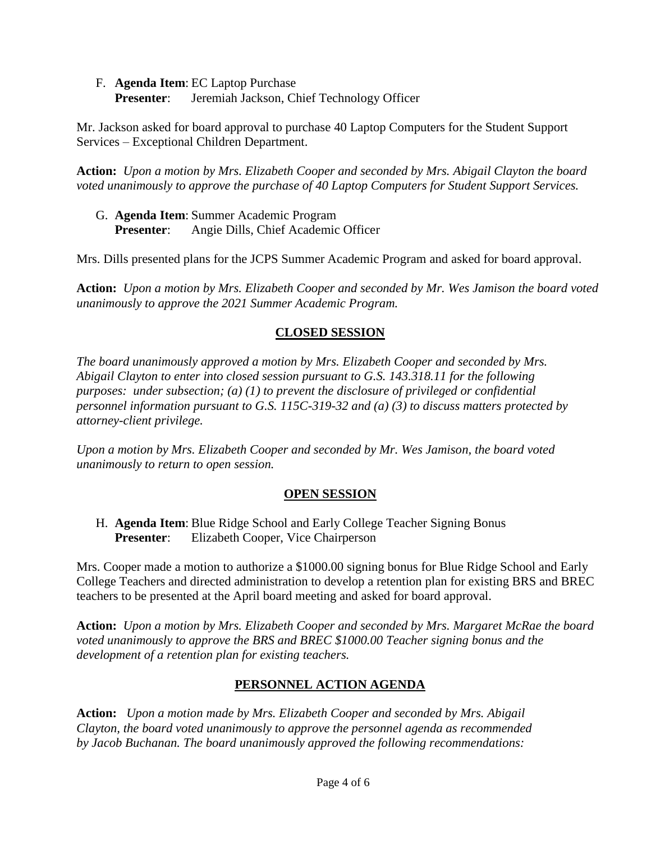F. **Agenda Item**: EC Laptop Purchase **Presenter:** Jeremiah Jackson, Chief Technology Officer

Mr. Jackson asked for board approval to purchase 40 Laptop Computers for the Student Support Services – Exceptional Children Department.

**Action:** *Upon a motion by Mrs. Elizabeth Cooper and seconded by Mrs. Abigail Clayton the board voted unanimously to approve the purchase of 40 Laptop Computers for Student Support Services.*

G. **Agenda Item**: Summer Academic Program **Presenter**: Angie Dills, Chief Academic Officer

Mrs. Dills presented plans for the JCPS Summer Academic Program and asked for board approval.

**Action:** *Upon a motion by Mrs. Elizabeth Cooper and seconded by Mr. Wes Jamison the board voted unanimously to approve the 2021 Summer Academic Program.*

# **CLOSED SESSION**

*The board unanimously approved a motion by Mrs. Elizabeth Cooper and seconded by Mrs. Abigail Clayton to enter into closed session pursuant to G.S. 143.318.11 for the following purposes: under subsection; (a) (1) to prevent the disclosure of privileged or confidential personnel information pursuant to G.S. 115C-319-32 and (a) (3) to discuss matters protected by attorney-client privilege.* 

*Upon a motion by Mrs. Elizabeth Cooper and seconded by Mr. Wes Jamison, the board voted unanimously to return to open session.*

# **OPEN SESSION**

H. **Agenda Item**: Blue Ridge School and Early College Teacher Signing Bonus **Presenter**: Elizabeth Cooper, Vice Chairperson

Mrs. Cooper made a motion to authorize a \$1000.00 signing bonus for Blue Ridge School and Early College Teachers and directed administration to develop a retention plan for existing BRS and BREC teachers to be presented at the April board meeting and asked for board approval.

**Action:** *Upon a motion by Mrs. Elizabeth Cooper and seconded by Mrs. Margaret McRae the board voted unanimously to approve the BRS and BREC \$1000.00 Teacher signing bonus and the development of a retention plan for existing teachers.*

# **PERSONNEL ACTION AGENDA**

**Action:** *Upon a motion made by Mrs. Elizabeth Cooper and seconded by Mrs. Abigail Clayton, the board voted unanimously to approve the personnel agenda as recommended by Jacob Buchanan. The board unanimously approved the following recommendations:*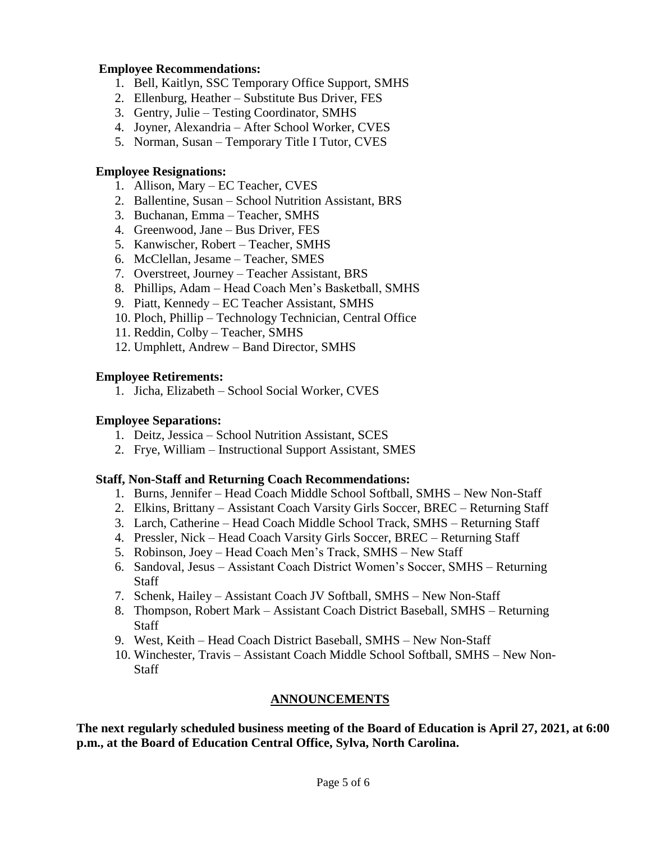### **Employee Recommendations:**

- 1. Bell, Kaitlyn, SSC Temporary Office Support, SMHS
- 2. Ellenburg, Heather Substitute Bus Driver, FES
- 3. Gentry, Julie Testing Coordinator, SMHS
- 4. Joyner, Alexandria After School Worker, CVES
- 5. Norman, Susan Temporary Title I Tutor, CVES

### **Employee Resignations:**

- 1. Allison, Mary EC Teacher, CVES
- 2. Ballentine, Susan School Nutrition Assistant, BRS
- 3. Buchanan, Emma Teacher, SMHS
- 4. Greenwood, Jane Bus Driver, FES
- 5. Kanwischer, Robert Teacher, SMHS
- 6. McClellan, Jesame Teacher, SMES
- 7. Overstreet, Journey Teacher Assistant, BRS
- 8. Phillips, Adam Head Coach Men's Basketball, SMHS
- 9. Piatt, Kennedy EC Teacher Assistant, SMHS
- 10. Ploch, Phillip Technology Technician, Central Office
- 11. Reddin, Colby Teacher, SMHS
- 12. Umphlett, Andrew Band Director, SMHS

### **Employee Retirements:**

1. Jicha, Elizabeth – School Social Worker, CVES

### **Employee Separations:**

- 1. Deitz, Jessica School Nutrition Assistant, SCES
- 2. Frye, William Instructional Support Assistant, SMES

#### **Staff, Non-Staff and Returning Coach Recommendations:**

- 1. Burns, Jennifer Head Coach Middle School Softball, SMHS New Non-Staff
- 2. Elkins, Brittany Assistant Coach Varsity Girls Soccer, BREC Returning Staff
- 3. Larch, Catherine Head Coach Middle School Track, SMHS Returning Staff
- 4. Pressler, Nick Head Coach Varsity Girls Soccer, BREC Returning Staff
- 5. Robinson, Joey Head Coach Men's Track, SMHS New Staff
- 6. Sandoval, Jesus Assistant Coach District Women's Soccer, SMHS Returning Staff
- 7. Schenk, Hailey Assistant Coach JV Softball, SMHS New Non-Staff
- 8. Thompson, Robert Mark Assistant Coach District Baseball, SMHS Returning Staff
- 9. West, Keith Head Coach District Baseball, SMHS New Non-Staff
- 10. Winchester, Travis Assistant Coach Middle School Softball, SMHS New Non-Staff

#### **ANNOUNCEMENTS**

**The next regularly scheduled business meeting of the Board of Education is April 27, 2021, at 6:00 p.m., at the Board of Education Central Office, Sylva, North Carolina.**